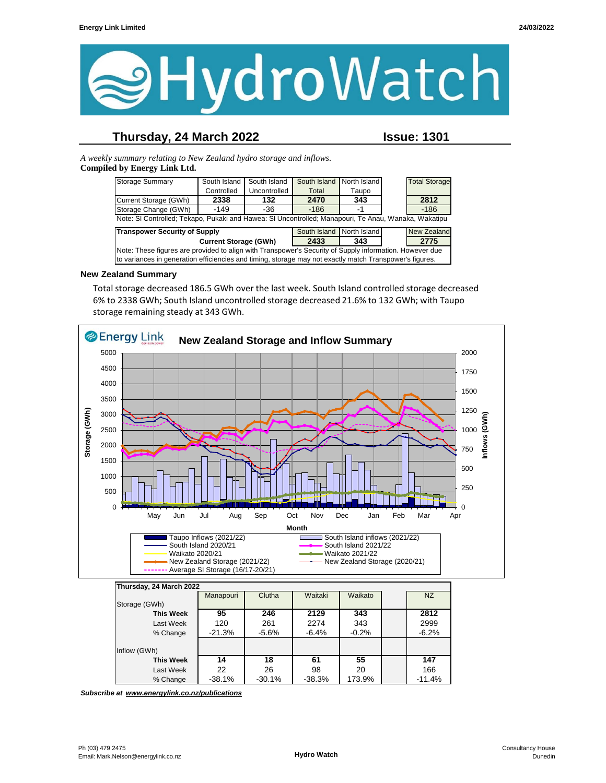

## **Thursday, 24 March 2022 Issue: 1301**

*A weekly summary relating to New Zealand hydro storage and inflows.*  **Compiled by Energy Link Ltd.**

| <b>Storage Summary</b>                                                                                  | South Island | South Island | South Island | North Island |  | <b>Total Storage</b> |
|---------------------------------------------------------------------------------------------------------|--------------|--------------|--------------|--------------|--|----------------------|
|                                                                                                         | Controlled   | Uncontrolled | Total        | Taupo        |  |                      |
| Current Storage (GWh)                                                                                   | 2338         | 132          | 2470         | 343          |  | 2812                 |
| Storage Change (GWh)                                                                                    | $-149$       | -36          | $-186$       | -1           |  | $-186$               |
| Note: SI Controlled; Tekapo, Pukaki and Hawea: SI Uncontrolled; Manapouri, Te Anau, Wanaka, Wakatipu    |              |              |              |              |  |                      |
| <b>Transpower Security of Supply</b><br>South Island North Island<br><b>New Zealand</b>                 |              |              |              |              |  |                      |
| 2775<br>2433<br><b>Current Storage (GWh)</b><br>343                                                     |              |              |              |              |  |                      |
| Note: These figures are provided to align with Transpower's Security of Supply information. However due |              |              |              |              |  |                      |
| to variances in generation efficiencies and timing, storage may not exactly match Transpower's figures. |              |              |              |              |  |                      |

#### **New Zealand Summary**

Total storage decreased 186.5 GWh over the last week. South Island controlled storage decreased 6% to 2338 GWh; South Island uncontrolled storage decreased 21.6% to 132 GWh; with Taupo storage remaining steady at 343 GWh.



| Thursday, 24 March 2022 |           |          |          |         |          |
|-------------------------|-----------|----------|----------|---------|----------|
|                         | Manapouri | Clutha   | Waitaki  | Waikato | NZ       |
| Storage (GWh)           |           |          |          |         |          |
| <b>This Week</b>        | 95        | 246      | 2129     | 343     | 2812     |
| Last Week               | 120       | 261      | 2274     | 343     | 2999     |
| % Change                | $-21.3%$  | $-5.6%$  | $-6.4%$  | $-0.2%$ | $-6.2%$  |
|                         |           |          |          |         |          |
| Inflow (GWh)            |           |          |          |         |          |
| This Week               | 14        | 18       | 61       | 55      | 147      |
| Last Week               | 22        | 26       | 98       | 20      | 166      |
| % Change                | $-38.1%$  | $-30.1%$ | $-38.3%$ | 173.9%  | $-11.4%$ |

*Subscribe at www.energylink.co.nz/publications*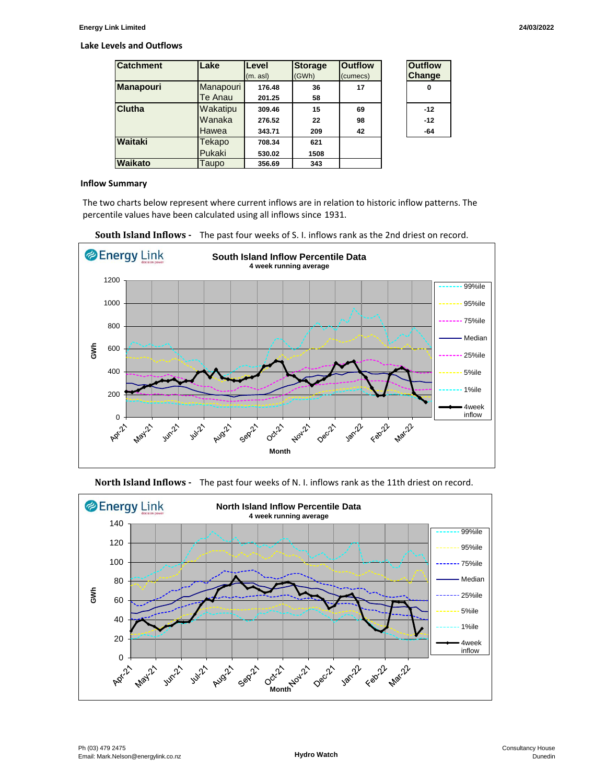#### **Lake Levels and Outflows**

| <b>Catchment</b> | Lake      | Level    | <b>Storage</b> | <b>Outflow</b> | <b>Outflow</b> |
|------------------|-----------|----------|----------------|----------------|----------------|
|                  |           | (m. asl) | (GWh)          | (cumecs)       | <b>Change</b>  |
| <b>Manapouri</b> | Manapouri | 176.48   | 36             | 17             | 0              |
|                  | Te Anau   | 201.25   | 58             |                |                |
| Clutha           | Wakatipu  | 309.46   | 15             | 69             | $-12$          |
|                  | Wanaka    | 276.52   | 22             | 98             | $-12$          |
|                  | Hawea     | 343.71   | 209            | 42             | -64            |
| Waitaki          | Tekapo    | 708.34   | 621            |                |                |
|                  | Pukaki    | 530.02   | 1508           |                |                |
| Waikato          | Taupo     | 356.69   | 343            |                |                |

| Outfilow<br>Change |  |  |
|--------------------|--|--|
| O                  |  |  |
| -12                |  |  |
| -12                |  |  |
| ١4                 |  |  |

#### **Inflow Summary**

The two charts below represent where current inflows are in relation to historic inflow patterns. The percentile values have been calculated using all inflows since 1931.







**North Island Inflows -** The past four weeks of N. I. inflows rank as the 11th driest on record.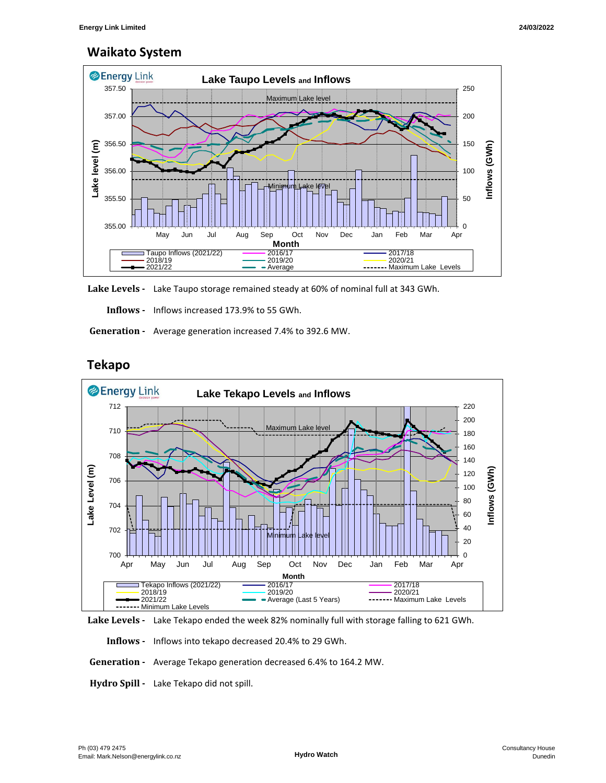# **Waikato System**



**Lake Levels -** Lake Taupo storage remained steady at 60% of nominal full at 343 GWh.

 **Inflows -** Inflows increased 173.9% to 55 GWh.

 **Generation -** Average generation increased 7.4% to 392.6 MW.



# **Tekapo**



 **Inflows -** Inflows into tekapo decreased 20.4% to 29 GWh.

 **Generation -** Average Tekapo generation decreased 6.4% to 164.2 MW.

**Hydro Spill -** Lake Tekapo did not spill.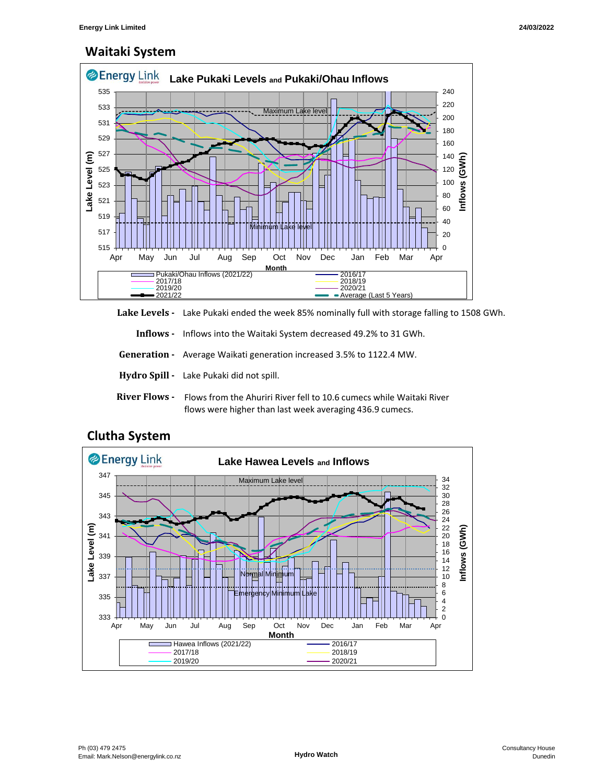# **Waitaki System**



**Lake Levels -** Lake Pukaki ended the week 85% nominally full with storage falling to 1508 GWh.

 **Inflows -** Inflows into the Waitaki System decreased 49.2% to 31 GWh.

 **Generation -** Average Waikati generation increased 3.5% to 1122.4 MW.

- **Hydro Spill** Lake Pukaki did not spill.
- **River Flows**  Flows from the Ahuriri River fell to 10.6 cumecs while Waitaki River flows were higher than last week averaging 436.9 cumecs.



## **Clutha System**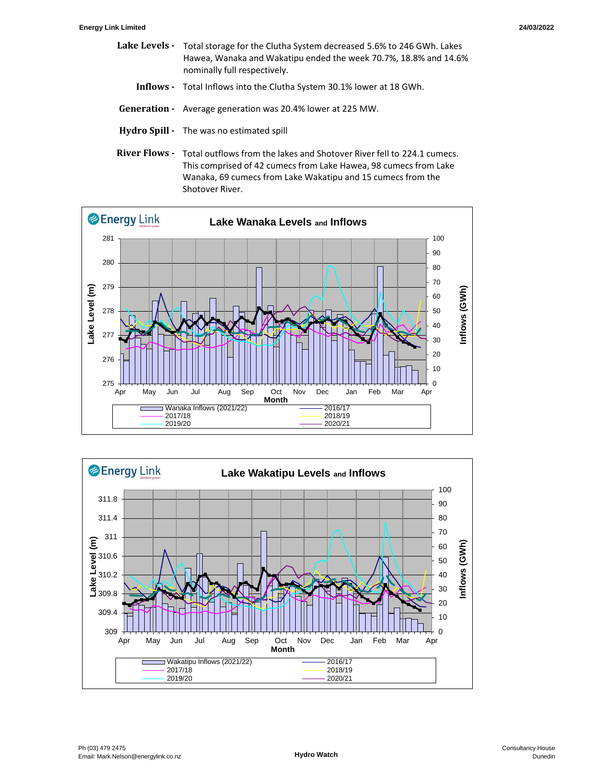- Lake Levels Total storage for the Clutha System decreased 5.6% to 246 GWh. Lakes Hawea, Wanaka and Wakatipu ended the week 70.7%, 18.8% and 14.6% nominally full respectively.
	- **Inflows** Total Inflows into the Clutha System 30.1% lower at 18 GWh.
- **Generation** Average generation was 20.4% lower at 225 MW.
- **Hydro Spill** The was no estimated spill
- River Flows Total outflows from the lakes and Shotover River fell to 224.1 cumecs. This comprised of 42 cumecs from Lake Hawea, 98 cumecs from Lake Wanaka, 69 cumecs from Lake Wakatipu and 15 cumecs from the Shotover River.